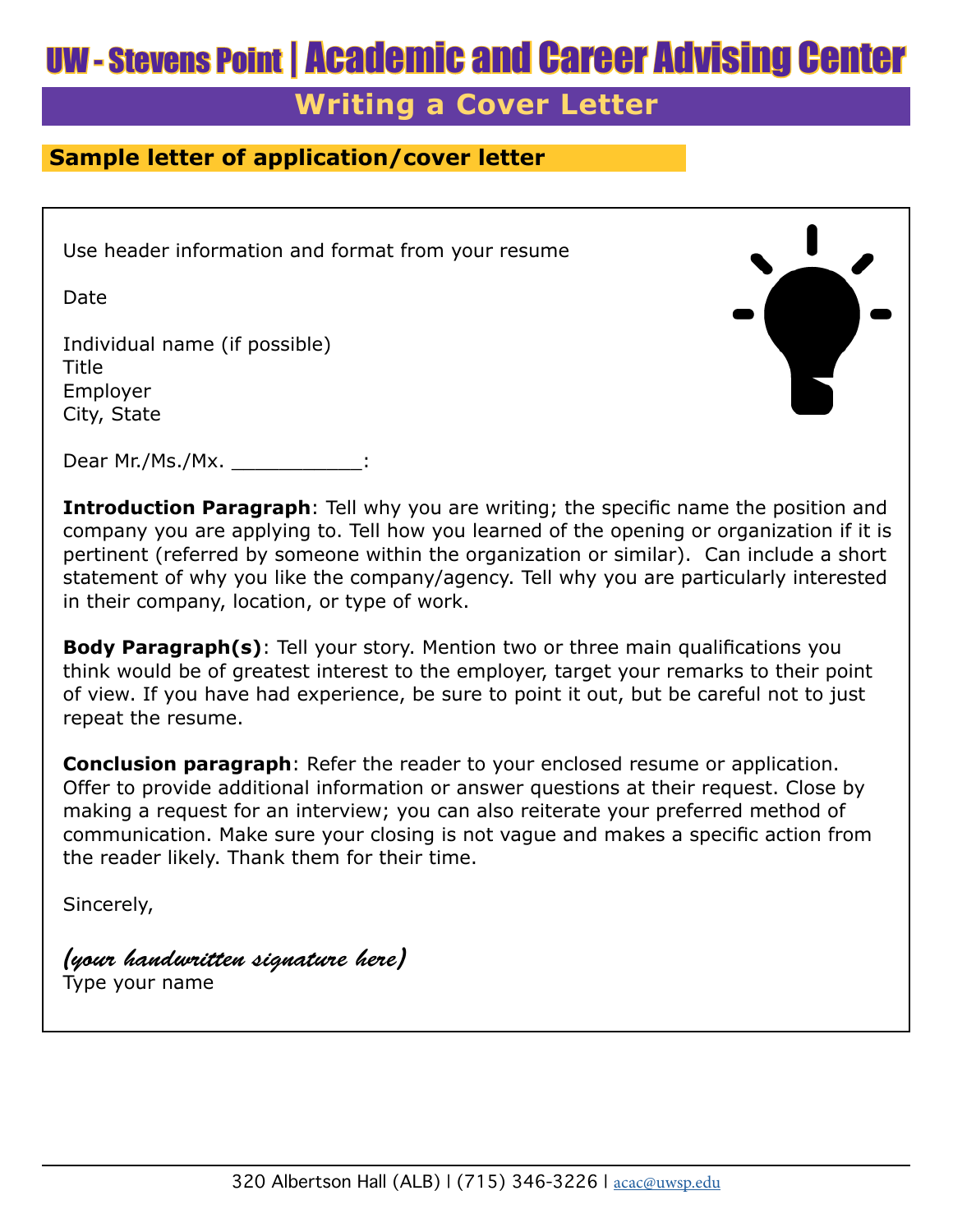# UW - Stevens Point | Academic and Career Advising Center

## **Writing a Cover Letter**

### **Sample letter of application/cover letter**

Use header information and format from your resume

Date

Individual name (if possible) **Title** Employer City, State



Dear Mr./Ms./Mx. \_\_\_\_\_\_\_\_\_\_\_\_\_

**Introduction Paragraph**: Tell why you are writing; the specific name the position and company you are applying to. Tell how you learned of the opening or organization if it is pertinent (referred by someone within the organization or similar). Can include a short statement of why you like the company/agency. Tell why you are particularly interested in their company, location, or type of work.

**Body Paragraph(s)**: Tell your story. Mention two or three main qualifications you think would be of greatest interest to the employer, target your remarks to their point of view. If you have had experience, be sure to point it out, but be careful not to just repeat the resume.

**Conclusion paragraph**: Refer the reader to your enclosed resume or application. Offer to provide additional information or answer questions at their request. Close by making a request for an interview; you can also reiterate your preferred method of communication. Make sure your closing is not vague and makes a specific action from the reader likely. Thank them for their time.

Sincerely,

*(your handwritten signature here)* Type your name